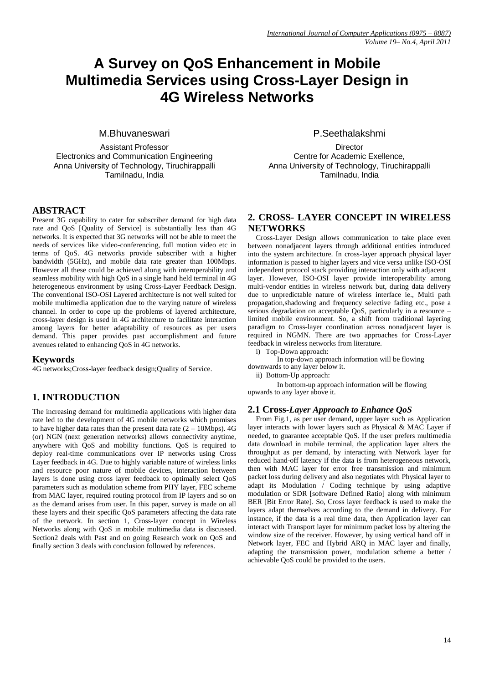# **A Survey on QoS Enhancement in Mobile Multimedia Services using Cross-Layer Design in 4G Wireless Networks**

M.Bhuvaneswari

Assistant Professor Electronics and Communication Engineering Anna University of Technology, Tiruchirappalli Tamilnadu, India

# **ABSTRACT**

Present 3G capability to cater for subscriber demand for high data rate and QoS [Quality of Service] is substantially less than 4G networks. It is expected that 3G networks will not be able to meet the needs of services like video-conferencing, full motion video etc in terms of QoS. 4G networks provide subscriber with a higher bandwidth (5GHz), and mobile data rate greater than 100Mbps. However all these could be achieved along with interoperability and seamless mobility with high QoS in a single hand held terminal in 4G heterogeneous environment by using Cross-Layer Feedback Design. The conventional ISO-OSI Layered architecture is not well suited for mobile multimedia application due to the varying nature of wireless channel. In order to cope up the problems of layered architecture, cross-layer design is used in 4G architecture to facilitate interaction among layers for better adaptability of resources as per users demand. This paper provides past accomplishment and future avenues related to enhancing QoS in 4G networks.

## **Keywords**

4G networks;Cross-layer feedback design;Quality of Service.

# **1. INTRODUCTION**

The increasing demand for multimedia applications with higher data rate led to the development of 4G mobile networks which promises to have higher data rates than the present data rate  $(2 - 10Mbps)$ . 4G (or) NGN (next generation networks) allows connectivity anytime, anywhere with QoS and mobility functions. QoS is required to deploy real-time communications over IP networks using Cross Layer feedback in 4G. Due to highly variable nature of wireless links and resource poor nature of mobile devices, interaction between layers is done using cross layer feedback to optimally select QoS parameters such as modulation scheme from PHY layer, FEC scheme from MAC layer, required routing protocol from IP layers and so on as the demand arises from user. In this paper, survey is made on all these layers and their specific QoS parameters affecting the data rate of the network. In section 1, Cross-layer concept in Wireless Networks along with QoS in mobile multimedia data is discussed. Section2 deals with Past and on going Research work on QoS and finally section 3 deals with conclusion followed by references.

P.Seethalakshmi

**Director** Centre for Academic Exellence, Anna University of Technology, Tiruchirappalli Tamilnadu, India

## **2. CROSS- LAYER CONCEPT IN WIRELESS NETWORKS**

Cross-Layer Design allows communication to take place even between nonadjacent layers through additional entities introduced into the system architecture. In cross-layer approach physical layer information is passed to higher layers and vice versa unlike ISO-OSI independent protocol stack providing interaction only with adjacent layer. However, ISO-OSI layer provide interoperability among multi-vendor entities in wireless network but, during data delivery due to unpredictable nature of wireless interface ie., Multi path propagation,shadowing and frequency selective fading etc., pose a serious degradation on acceptable QoS, particularly in a resource – limited mobile environment. So, a shift from traditional layering paradigm to Cross-layer coordination across nonadjacent layer is required in NGMN. There are two approaches for Cross-Layer feedback in wireless networks from literature.

i) Top-Down approach:

In top-down approach information will be flowing downwards to any layer below it.

ii) Bottom-Up approach:

In bottom-up approach information will be flowing upwards to any layer above it.

#### **2.1 Cross***-Layer Approach to Enhance QoS*

From Fig.1, as per user demand, upper layer such as Application layer interacts with lower layers such as Physical & MAC Layer if needed, to guarantee acceptable QoS. If the user prefers multimedia data download in mobile terminal, the application layer alters the throughput as per demand, by interacting with Network layer for reduced hand-off latency if the data is from heterogeneous network, then with MAC layer for error free transmission and minimum packet loss during delivery and also negotiates with Physical layer to adapt its Modulation / Coding technique by using adaptive modulation or SDR [software Defined Ratio] along with minimum BER [Bit Error Rate]. So, Cross layer feedback is used to make the layers adapt themselves according to the demand in delivery. For instance, if the data is a real time data, then Application layer can interact with Transport layer for minimum packet loss by altering the window size of the receiver. However, by using vertical hand off in Network layer, FEC and Hybrid ARQ in MAC layer and finally, adapting the transmission power, modulation scheme a better / achievable QoS could be provided to the users.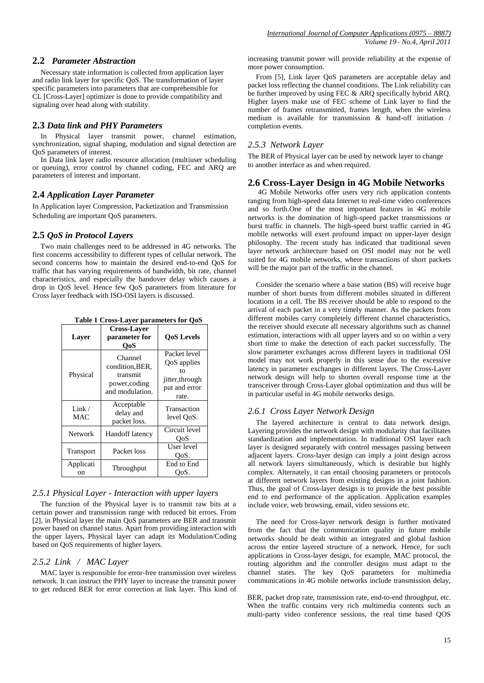#### **2.2** *Parameter Abstraction*

Necessary state information is collected from application layer and radio link layer for specific QoS. The transformation of layer specific parameters into parameters that are comprehensible for CL [Cross-Layer] optimizer is done to provide compatibility and signaling over head along with stability.

#### **2.3** *Data link and PHY Parameters*

In Physical layer transmit power, channel estimation, synchronization, signal shaping, modulation and signal detection are QoS parameters of interest.

In Data link layer radio resource allocation (multiuser scheduling or queuing), error control by channel coding, FEC and ARQ are parameters of interest and important.

#### **2.4** *Application Layer Parameter*

In Application layer Compression, Packetization and Transmission Scheduling are important QoS parameters.

#### **2.5** *QoS in Protocol Layers*

Two main challenges need to be addressed in 4G networks. The first concerns accessibility to different types of cellular network. The second concerns how to maintain the desired end-to-end QoS for traffic that has varying requirements of bandwidth, bit rate, channel characteristics, and especially the handover delay which causes a drop in QoS level. Hence few QoS parameters from literature for Cross layer feedback with ISO-OSI layers is discussed.

**Table 1 Cross-Layer parameters for QoS**

| $\sim$ $\sim$ $\sim$ $\sim$ $\sim$ $\sim$ $\sim$ $\sim$ |                                                                            |                                                                                |
|---------------------------------------------------------|----------------------------------------------------------------------------|--------------------------------------------------------------------------------|
| Layer                                                   | <b>Cross-Laver</b><br>parameter for<br>OoS                                 | <b>OoS</b> Levels                                                              |
| Physical                                                | Channel<br>condition, BER,<br>transmit<br>power, coding<br>and modulation. | Packet level<br>QoS applies<br>tο<br>jitter, through<br>put and error<br>rate. |
| Link/<br>MAC                                            | Acceptable<br>delay and<br>packet loss.                                    | Transaction<br>level QoS.                                                      |
| Network                                                 | Handoff latency                                                            | Circuit level<br>OoS                                                           |
| Transport                                               | Packet loss                                                                | User level<br>OoS.                                                             |
| Applicati<br>on                                         | Throughput                                                                 | End to End<br>OoS.                                                             |

#### *2.5.1 Physical Layer - Interaction with upper layers*

The function of the Physical layer is to transmit raw bits at a certain power and transmission range with reduced bit errors. From [2], in Physical layer the main QoS parameters are BER and transmit power based on channel status. Apart from providing interaction with the upper layers, Physical layer can adapt its Modulation/Coding based on QoS requirements of higher layers.

#### *2.5.2 Link / MAC Layer*

MAC layer is responsible for error-free transmission over wireless network. It can instruct the PHY layer to increase the transmit power to get reduced BER for error correction at link layer. This kind of

increasing transmit power will provide reliability at the expense of more power consumption.

From [5], Link layer QoS parameters are acceptable delay and packet loss reflecting the channel conditions. The Link reliability can be further improved by using FEC & ARQ specifically hybrid ARQ. Higher layers make use of FEC scheme of Link layer to find the number of frames retransmitted, frames length, when the wireless medium is available for transmission & hand-off initiation / completion events.

#### *2.5.3 Network Layer*

The BER of Physical layer can be used by network layer to change to another interface as and when required.

#### **2.6 Cross-Layer Design in 4G Mobile Networks**

4G Mobile Networks offer users very rich application contents ranging from high-speed data Internet to real-time video conferences and so forth.One of the most important features in 4G mobile networks is the domination of high-speed packet transmissions or burst traffic in channels. The high-speed burst traffic carried in 4G mobile networks will exert profound impact on upper-layer design philosophy. The recent study has indicated that traditional seven layer network architecture based on OSI model may not be well suited for 4G mobile networks, where transactions of short packets will be the major part of the traffic in the channel.

Consider the scenario where a base station (BS) will receive huge number of short bursts from different mobiles situated in different locations in a cell. The BS receiver should be able to respond to the arrival of each packet in a very timely manner. As the packets from different mobiles carry completely different channel characteristics, the receiver should execute all necessary algorithms such as channel estimation, interactions with all upper layers and so on within a very short time to make the detection of each packet successfully. The slow parameter exchanges across different layers in traditional OSI model may not work properly in this sense due to the excessive latency in parameter exchanges in different layers. The Cross-Layer network design will help to shorten overall response time at the transceiver through Cross-Layer global optimization and thus will be in particular useful in 4G mobile networks design.

#### *2.6.1 Cross Layer Network Design*

The layered architecture is central to data network design. Layering provides the network design with modularity that facilitates standardization and implementation. In traditional OSI layer each layer is designed separately with control messages passing between adjacent layers. Cross-layer design can imply a joint design across all network layers simultaneously, which is desirable but highly complex. Alternately, it can entail choosing parameters or protocols at different network layers from existing designs in a joint fashion. Thus, the goal of Cross-layer design is to provide the best possible end to end performance of the application. Application examples include voice, web browsing, email, video sessions etc.

The need for Cross-layer network design is further motivated from the fact that the communication quality in future mobile networks should be dealt within an integrated and global fashion across the entire layered structure of a network. Hence, for such applications in Cross-layer design, for example, MAC protocol, the routing algorithm and the controller designs must adapt to the channel states. The key QoS parameters for multimedia communications in 4G mobile networks include transmission delay,

BER, packet drop rate, transmission rate, end-to-end throughput, etc. When the traffic contains very rich multimedia contents such as multi-party video conference sessions, the real time based QOS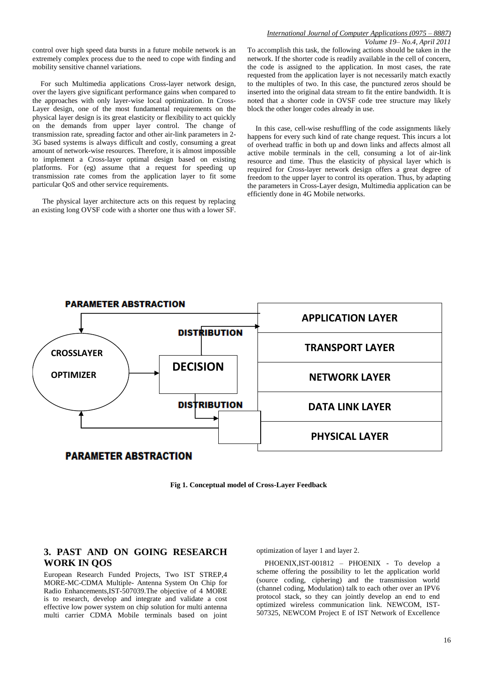control over high speed data bursts in a future mobile network is an extremely complex process due to the need to cope with finding and mobility sensitive channel variations.

For such Multimedia applications Cross-layer network design, over the layers give significant performance gains when compared to the approaches with only layer-wise local optimization. In Cross-Layer design, one of the most fundamental requirements on the physical layer design is its great elasticity or flexibility to act quickly on the demands from upper layer control. The change of transmission rate, spreading factor and other air-link parameters in 2- 3G based systems is always difficult and costly, consuming a great amount of network-wise resources. Therefore, it is almost impossible to implement a Cross-layer optimal design based on existing platforms. For (eg) assume that a request for speeding up transmission rate comes from the application layer to fit some particular QoS and other service requirements.

The physical layer architecture acts on this request by replacing an existing long OVSF code with a shorter one thus with a lower SF.

#### *International Journal of Computer Applications (0975 – 8887) Volume 19– No.4, April 2011*

To accomplish this task, the following actions should be taken in the network. If the shorter code is readily available in the cell of concern, the code is assigned to the application. In most cases, the rate requested from the application layer is not necessarily match exactly to the multiples of two. In this case, the punctured zeros should be inserted into the original data stream to fit the entire bandwidth. It is noted that a shorter code in OVSF code tree structure may likely block the other longer codes already in use.

In this case, cell-wise reshuffling of the code assignments likely happens for every such kind of rate change request. This incurs a lot of overhead traffic in both up and down links and affects almost all active mobile terminals in the cell, consuming a lot of air-link resource and time. Thus the elasticity of physical layer which is required for Cross-layer network design offers a great degree of freedom to the upper layer to control its operation. Thus, by adapting the parameters in Cross-Layer design, Multimedia application can be efficiently done in 4G Mobile networks.





## **3. PAST AND ON GOING RESEARCH WORK IN QOS**

European Research Funded Projects, Two IST STREP,4 MORE-MC-CDMA Multiple- Antenna System On Chip for Radio Enhancements,IST-507039.The objective of 4 MORE is to research, develop and integrate and validate a cost effective low power system on chip solution for multi antenna multi carrier CDMA Mobile terminals based on joint

optimization of layer 1 and layer 2.

PHOENIX,IST-001812 – PHOENIX - To develop a scheme offering the possibility to let the application world (source coding, ciphering) and the transmission world (channel coding, Modulation) talk to each other over an IPV6 protocol stack, so they can jointly develop an end to end optimized wireless communication link. NEWCOM, IST-507325, NEWCOM Project E of IST Network of Excellence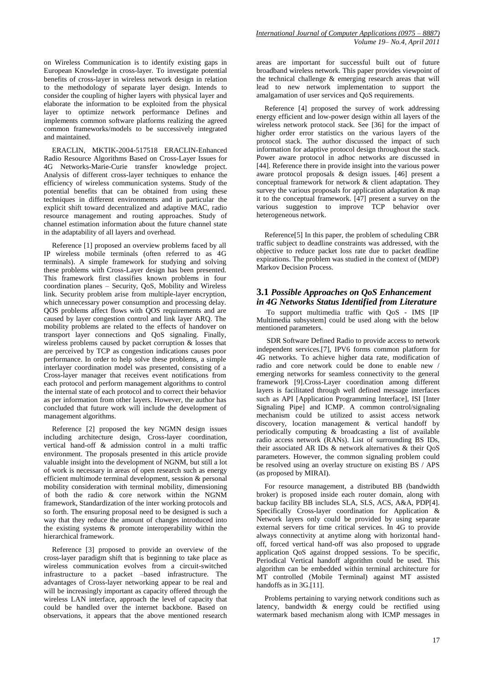on Wireless Communication is to identify existing gaps in European Knowledge in cross-layer. To investigate potential benefits of cross-layer in wireless network design in relation to the methodology of separate layer design. Intends to consider the coupling of higher layers with physical layer and elaborate the information to be exploited from the physical layer to optimize network performance Defines and implements common software platforms realizing the agreed common frameworks/models to be successively integrated and maintained.

ERACLIN, MKTIK-2004-517518 ERACLIN-Enhanced Radio Resource Algorithms Based on Cross-Layer Issues for 4G Networks-Marie-Curie transfer knowledge project. Analysis of different cross-layer techniques to enhance the efficiency of wireless communication systems. Study of the potential benefits that can be obtained from using these techniques in different environments and in particular the explicit shift toward decentralized and adaptive MAC, radio resource management and routing approaches. Study of channel estimation information about the future channel state in the adaptability of all layers and overhead.

Reference [1] proposed an overview problems faced by all IP wireless mobile terminals (often referred to as 4G terminals). A simple framework for studying and solving these problems with Cross-Layer design has been presented. This framework first classifies known problems in four coordination planes – Security, QoS, Mobility and Wireless link. Security problem arise from multiple-layer encryption, which unnecessary power consumption and processing delay. QOS problems affect flows with QOS requirements and are caused by layer congestion control and link layer ARQ. The mobility problems are related to the effects of handover on transport layer connections and QoS signaling. Finally, wireless problems caused by packet corruption & losses that are perceived by TCP as congestion indications causes poor performance. In order to help solve these problems, a simple interlayer coordination model was presented, consisting of a Cross-layer manager that receives event notifications from each protocol and perform management algorithms to control the internal state of each protocol and to correct their behavior as per information from other layers. However, the author has concluded that future work will include the development of management algorithms.

Reference [2] proposed the key NGMN design issues including architecture design, Cross-layer coordination, vertical hand-off & admission control in a multi traffic environment. The proposals presented in this article provide valuable insight into the development of NGNM, but still a lot of work is necessary in areas of open research such as energy efficient multimode terminal development, session & personal mobility consideration with terminal mobility, dimensioning of both the radio & core network within the NGNM framework, Standardization of the inter working protocols and so forth. The ensuring proposal need to be designed is such a way that they reduce the amount of changes introduced into the existing systems & promote interoperability within the hierarchical framework.

Reference [3] proposed to provide an overview of the cross-layer paradigm shift that is beginning to take place as wireless communication evolves from a circuit-switched infrastructure to a packet –based infrastructure. The advantages of Cross-layer networking appear to be real and will be increasingly important as capacity offered through the wireless LAN interface, approach the level of capacity that could be handled over the internet backbone. Based on observations, it appears that the above mentioned research

areas are important for successful built out of future broadband wireless network. This paper provides viewpoint of the technical challenge & emerging research areas that will lead to new network implementation to support the amalgamation of user services and QoS requirements.

Reference [4] proposed the survey of work addressing energy efficient and low-power design within all layers of the wireless network protocol stack. See [36] for the impact of higher order error statistics on the various layers of the protocol stack. The author discussed the impact of such information for adaptive protocol design throughout the stack. Power aware protocol in adhoc networks are discussed in [44]. Reference there in provide insight into the various power aware protocol proposals & design issues. [46] present a conceptual framework for network & client adaptation. They survey the various proposals for application adaptation  $\&$  map it to the conceptual framework. [47] present a survey on the various suggestion to improve TCP behavior over heterogeneous network.

Reference[5] In this paper, the problem of scheduling CBR traffic subject to deadline constraints was addressed, with the objective to reduce packet loss rate due to packet deadline expirations. The problem was studied in the context of (MDP) Markov Decision Process.

### **3.1** *Possible Approaches on QoS Enhancement in 4G Networks Status Identified from Literature*

To support multimedia traffic with QoS - IMS [IP Multimedia subsystem] could be used along with the below mentioned parameters.

SDR Software Defined Radio to provide access to network independent services.[7], IPV6 forms common platform for 4G networks. To achieve higher data rate, modification of radio and core network could be done to enable new / emerging networks for seamless connectivity to the general framework [9].Cross-Layer coordination among different layers is facilitated through well defined message interfaces such as API [Application Programming Interface], ISI [Inter Signaling Pipe] and ICMP. A common control/signaling mechanism could be utilized to assist access network discovery, location management & vertical handoff by periodically computing & broadcasting a list of available radio access network (RANs). List of surrounding BS IDs, their associated AR IDs & network alternatives & their QoS parameters. However, the common signaling problem could be resolved using an overlay structure on existing BS / APS (as proposed by MIRAI).

For resource management, a distributed BB (bandwidth broker) is proposed inside each router domain, along with backup facility BB includes SLA, SLS, ACS, A&A, PDP[4]. Specifically Cross-layer coordination for Application & Network layers only could be provided by using separate external servers for time critical services. In 4G to provide always connectivity at anytime along with horizontal handoff, forced vertical hand-off was also proposed to upgrade application QoS against dropped sessions. To be specific, Periodical Vertical handoff algorithm could be used. This algorithm can be embedded within terminal architecture for MT controlled (Mobile Terminal) against MT assisted handoffs as in 3G.[11].

Problems pertaining to varying network conditions such as latency, bandwidth & energy could be rectified using watermark based mechanism along with ICMP messages in